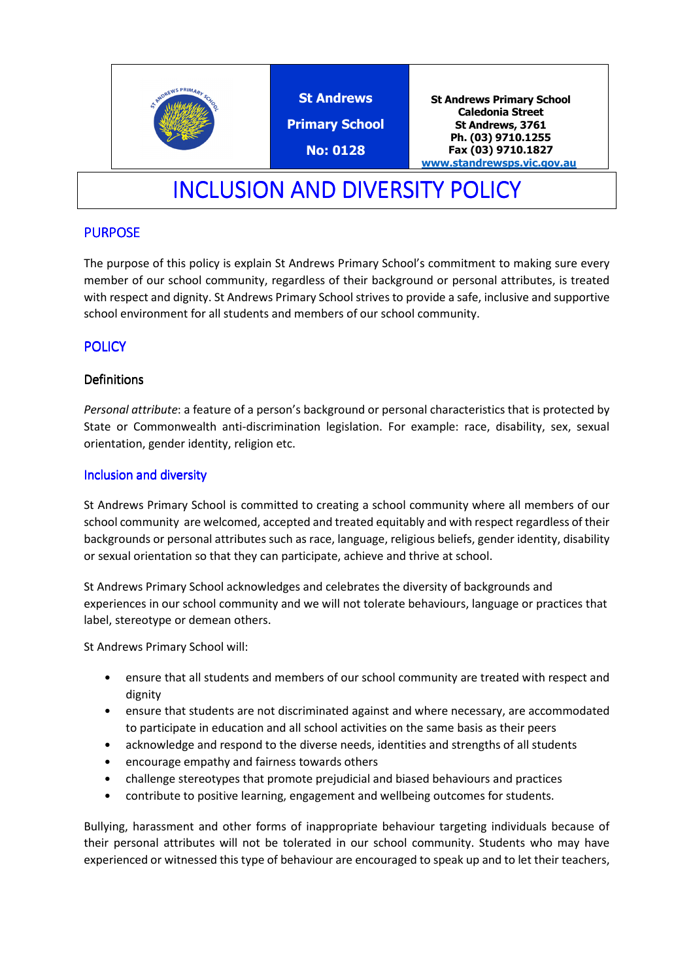

St Andrews Primary School No: 0128

St Andrews Primary School Caledonia Street St Andrews, 3761 Ph. (03) 9710.1255 Fax (03) 9710.1827 www.standrewsps.vic.gov.au

# INCLUSION AND DIVERSITY POLICY

## PURPOSE

The purpose of this policy is explain St Andrews Primary School's commitment to making sure every member of our school community, regardless of their background or personal attributes, is treated with respect and dignity. St Andrews Primary School strives to provide a safe, inclusive and supportive school environment for all students and members of our school community.

## **POLICY**

### **Definitions**

Personal attribute: a feature of a person's background or personal characteristics that is protected by State or Commonwealth anti-discrimination legislation. For example: race, disability, sex, sexual orientation, gender identity, religion etc.

### Inclusion and diversity

St Andrews Primary School is committed to creating a school community where all members of our school community are welcomed, accepted and treated equitably and with respect regardless of their backgrounds or personal attributes such as race, language, religious beliefs, gender identity, disability or sexual orientation so that they can participate, achieve and thrive at school.

St Andrews Primary School acknowledges and celebrates the diversity of backgrounds and experiences in our school community and we will not tolerate behaviours, language or practices that label, stereotype or demean others.

St Andrews Primary School will:

- ensure that all students and members of our school community are treated with respect and dignity
- ensure that students are not discriminated against and where necessary, are accommodated to participate in education and all school activities on the same basis as their peers
- acknowledge and respond to the diverse needs, identities and strengths of all students
- encourage empathy and fairness towards others
- challenge stereotypes that promote prejudicial and biased behaviours and practices
- contribute to positive learning, engagement and wellbeing outcomes for students.

Bullying, harassment and other forms of inappropriate behaviour targeting individuals because of their personal attributes will not be tolerated in our school community. Students who may have experienced or witnessed this type of behaviour are encouraged to speak up and to let their teachers,